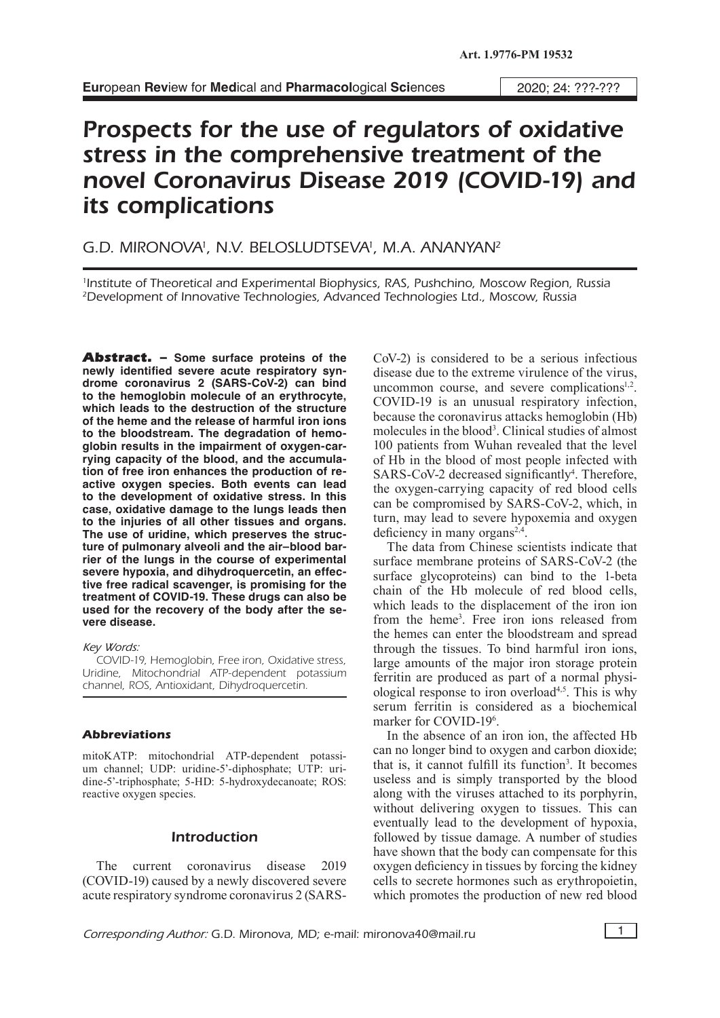# Prospects for the use of regulators of oxidative stress in the comprehensive treatment of the novel Coronavirus Disease 2019 (COVID-19) and its complications

# G.D. MIRONOVA<sup>1</sup>, N.V. BELOSLUDTSEVA<sup>1</sup>, M.A. ANANYAN<sup>2</sup>

1 Institute of Theoretical and Experimental Biophysics, RAS, Pushchino, Moscow Region, Russia 2Development of Innovative Technologies, Advanced Technologies Ltd., Moscow, Russia

Abstract. – **Some surface proteins of the newly identified severe acute respiratory syndrome coronavirus 2 (SARS-CoV-2) can bind to the hemoglobin molecule of an erythrocyte, which leads to the destruction of the structure of the heme and the release of harmful iron ions to the bloodstream. The degradation of hemoglobin results in the impairment of oxygen-carrying capacity of the blood, and the accumulation of free iron enhances the production of reactive oxygen species. Both events can lead to the development of oxidative stress. In this case, oxidative damage to the lungs leads then to the injuries of all other tissues and organs. The use of uridine, which preserves the structure of pulmonary alveoli and the air–blood barrier of the lungs in the course of experimental severe hypoxia, and dihydroquercetin, an effective free radical scavenger, is promising for the treatment of COVID-19. These drugs can also be used for the recovery of the body after the severe disease.**

*Key Words:*

COVID-19, Hemoglobin, Free iron, Oxidative stress, Uridine, Mitochondrial ATP-dependent potassium channel, ROS, Antioxidant, Dihydroquercetin.

#### **Abbreviations**

mitoKATP: mitochondrial ATP-dependent potassium channel; UDP: uridine-5'-diphosphate; UTP: uridine-5'-triphosphate; 5-HD: 5-hydroxydecanoate; ROS: reactive oxygen species.

### Introduction

The current coronavirus disease 2019 (COVID-19) caused by a newly discovered severe acute respiratory syndrome coronavirus 2 (SARS-

CoV-2) is considered to be a serious infectious disease due to the extreme virulence of the virus, uncommon course, and severe complications<sup>1,2</sup>. COVID-19 is an unusual respiratory infection, because the coronavirus attacks hemoglobin (Hb) molecules in the blood<sup>3</sup>. Clinical studies of almost 100 patients from Wuhan revealed that the level of Hb in the blood of most people infected with SARS-CoV-2 decreased significantly<sup>4</sup>. Therefore, the oxygen-carrying capacity of red blood cells can be compromised by SARS-CoV-2, which, in turn, may lead to severe hypoxemia and oxygen deficiency in many organs<sup>2,4</sup>.

The data from Chinese scientists indicate that surface membrane proteins of SARS-CoV-2 (the surface glycoproteins) can bind to the 1-beta chain of the Hb molecule of red blood cells, which leads to the displacement of the iron ion from the heme3 . Free iron ions released from the hemes can enter the bloodstream and spread through the tissues. To bind harmful iron ions, large amounts of the major iron storage protein ferritin are produced as part of a normal physiological response to iron overload<sup> $4,5$ </sup>. This is why serum ferritin is considered as a biochemical marker for COVID-196 .

In the absence of an iron ion, the affected Hb can no longer bind to oxygen and carbon dioxide; that is, it cannot fulfill its function<sup>3</sup>. It becomes useless and is simply transported by the blood along with the viruses attached to its porphyrin, without delivering oxygen to tissues. This can eventually lead to the development of hypoxia, followed by tissue damage. A number of studies have shown that the body can compensate for this oxygen deficiency in tissues by forcing the kidney cells to secrete hormones such as erythropoietin, which promotes the production of new red blood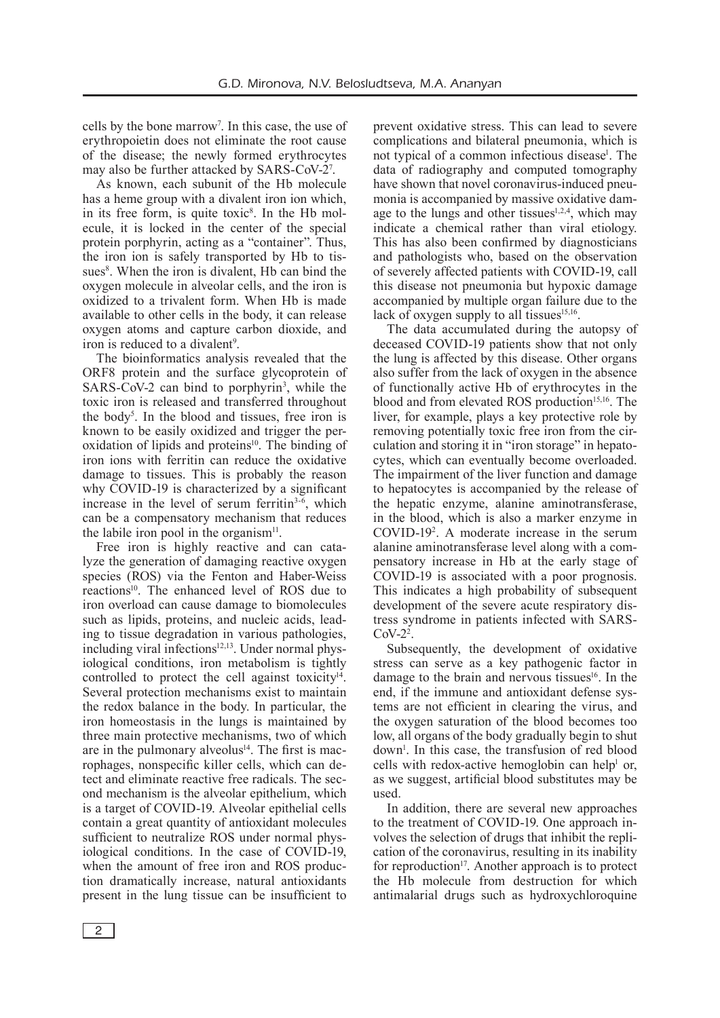cells by the bone marrow7 . In this case, the use of erythropoietin does not eliminate the root cause of the disease; the newly formed erythrocytes may also be further attacked by SARS-CoV-27 .

As known, each subunit of the Hb molecule has a heme group with a divalent iron ion which, in its free form, is quite toxic<sup>8</sup>. In the Hb molecule, it is locked in the center of the special protein porphyrin, acting as a "container". Thus, the iron ion is safely transported by Hb to tissues<sup>8</sup>. When the iron is divalent, Hb can bind the oxygen molecule in alveolar cells, and the iron is oxidized to a trivalent form. When Hb is made available to other cells in the body, it can release oxygen atoms and capture carbon dioxide, and iron is reduced to a divalent<sup>9</sup>.

The bioinformatics analysis revealed that the ORF8 protein and the surface glycoprotein of SARS-CoV-2 can bind to porphyrin<sup>3</sup>, while the toxic iron is released and transferred throughout the body5 . In the blood and tissues, free iron is known to be easily oxidized and trigger the peroxidation of lipids and proteins<sup>10</sup>. The binding of iron ions with ferritin can reduce the oxidative damage to tissues. This is probably the reason why COVID-19 is characterized by a significant increase in the level of serum ferritin $3-6$ , which can be a compensatory mechanism that reduces the labile iron pool in the organism $11$ .

Free iron is highly reactive and can catalyze the generation of damaging reactive oxygen species (ROS) via the Fenton and Haber-Weiss reactions<sup>10</sup>. The enhanced level of ROS due to iron overload can cause damage to biomolecules such as lipids, proteins, and nucleic acids, leading to tissue degradation in various pathologies, including viral infections $12,13$ . Under normal physiological conditions, iron metabolism is tightly controlled to protect the cell against toxicity $14$ . Several protection mechanisms exist to maintain the redox balance in the body. In particular, the iron homeostasis in the lungs is maintained by three main protective mechanisms, two of which are in the pulmonary alveolus<sup> $14$ </sup>. The first is macrophages, nonspecific killer cells, which can detect and eliminate reactive free radicals. The second mechanism is the alveolar epithelium, which is a target of COVID-19. Alveolar epithelial cells contain a great quantity of antioxidant molecules sufficient to neutralize ROS under normal physiological conditions. In the case of COVID-19, when the amount of free iron and ROS production dramatically increase, natural antioxidants present in the lung tissue can be insufficient to

prevent oxidative stress. This can lead to severe complications and bilateral pneumonia, which is not typical of a common infectious disease<sup>1</sup>. The data of radiography and computed tomography have shown that novel coronavirus-induced pneumonia is accompanied by massive oxidative damage to the lungs and other tissues $1,2,4$ , which may indicate a chemical rather than viral etiology. This has also been confirmed by diagnosticians and pathologists who, based on the observation of severely affected patients with COVID-19, call this disease not pneumonia but hypoxic damage accompanied by multiple organ failure due to the lack of oxygen supply to all tissues $15,16$ .

The data accumulated during the autopsy of deceased COVID-19 patients show that not only the lung is affected by this disease. Other organs also suffer from the lack of oxygen in the absence of functionally active Hb of erythrocytes in the blood and from elevated ROS production<sup>15,16</sup>. The liver, for example, plays a key protective role by removing potentially toxic free iron from the circulation and storing it in "iron storage" in hepatocytes, which can eventually become overloaded. The impairment of the liver function and damage to hepatocytes is accompanied by the release of the hepatic enzyme, alanine aminotransferase, in the blood, which is also a marker enzyme in COVID-192 . A moderate increase in the serum alanine aminotransferase level along with a compensatory increase in Hb at the early stage of COVID-19 is associated with a poor prognosis. This indicates a high probability of subsequent development of the severe acute respiratory distress syndrome in patients infected with SARS- $CoV-2<sup>2</sup>$ .

Subsequently, the development of oxidative stress can serve as a key pathogenic factor in damage to the brain and nervous tissues<sup>16</sup>. In the end, if the immune and antioxidant defense systems are not efficient in clearing the virus, and the oxygen saturation of the blood becomes too low, all organs of the body gradually begin to shut down1 . In this case, the transfusion of red blood cells with redox-active hemoglobin can help<sup>1</sup> or, as we suggest, artificial blood substitutes may be used.

In addition, there are several new approaches to the treatment of COVID-19. One approach involves the selection of drugs that inhibit the replication of the coronavirus, resulting in its inability for reproduction<sup>17</sup>. Another approach is to protect the Hb molecule from destruction for which antimalarial drugs such as hydroxychloroquine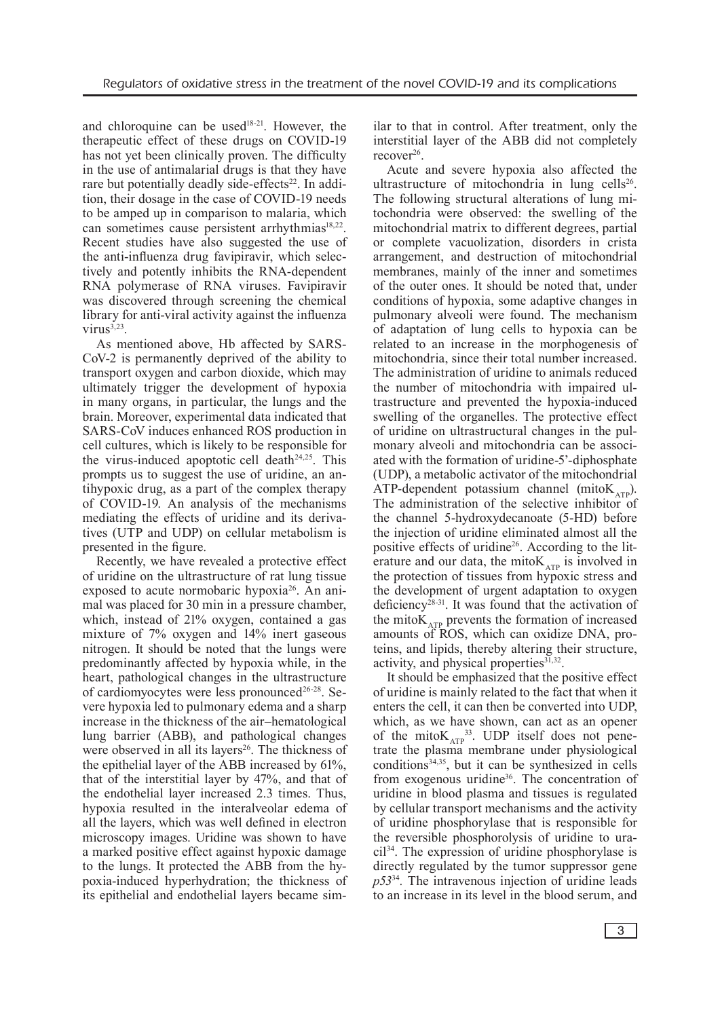and chloroquine can be used<sup>18-21</sup>. However, the therapeutic effect of these drugs on COVID-19 has not yet been clinically proven. The difficulty in the use of antimalarial drugs is that they have rare but potentially deadly side-effects<sup>22</sup>. In addition, their dosage in the case of COVID-19 needs to be amped up in comparison to malaria, which can sometimes cause persistent arrhythmias $18,22$ . Recent studies have also suggested the use of the anti-influenza drug favipiravir, which selectively and potently inhibits the RNA-dependent RNA polymerase of RNA viruses. Favipiravir was discovered through screening the chemical library for anti-viral activity against the influenza  $virus^{3,23}$ .

As mentioned above, Hb affected by SARS-CoV-2 is permanently deprived of the ability to transport oxygen and carbon dioxide, which may ultimately trigger the development of hypoxia in many organs, in particular, the lungs and the brain. Moreover, experimental data indicated that SARS-CoV induces enhanced ROS production in cell cultures, which is likely to be responsible for the virus-induced apoptotic cell death<sup>24,25</sup>. This prompts us to suggest the use of uridine, an antihypoxic drug, as a part of the complex therapy of COVID-19. An analysis of the mechanisms mediating the effects of uridine and its derivatives (UTP and UDP) on cellular metabolism is presented in the figure.

Recently, we have revealed a protective effect of uridine on the ultrastructure of rat lung tissue exposed to acute normobaric hypoxia<sup>26</sup>. An animal was placed for 30 min in a pressure chamber, which, instead of 21% oxygen, contained a gas mixture of 7% oxygen and 14% inert gaseous nitrogen. It should be noted that the lungs were predominantly affected by hypoxia while, in the heart, pathological changes in the ultrastructure of cardiomyocytes were less pronounced<sup>26-28</sup>. Severe hypoxia led to pulmonary edema and a sharp increase in the thickness of the air–hematological lung barrier (ABB), and pathological changes were observed in all its layers<sup>26</sup>. The thickness of the epithelial layer of the ABB increased by 61%, that of the interstitial layer by 47%, and that of the endothelial layer increased 2.3 times. Thus, hypoxia resulted in the interalveolar edema of all the layers, which was well defined in electron microscopy images. Uridine was shown to have a marked positive effect against hypoxic damage to the lungs. It protected the ABB from the hypoxia-induced hyperhydration; the thickness of its epithelial and endothelial layers became similar to that in control. After treatment, only the interstitial layer of the ABB did not completely recover<sup>26</sup>.

Acute and severe hypoxia also affected the ultrastructure of mitochondria in lung cells<sup>26</sup>. The following structural alterations of lung mitochondria were observed: the swelling of the mitochondrial matrix to different degrees, partial or complete vacuolization, disorders in crista arrangement, and destruction of mitochondrial membranes, mainly of the inner and sometimes of the outer ones. It should be noted that, under conditions of hypoxia, some adaptive changes in pulmonary alveoli were found. The mechanism of adaptation of lung cells to hypoxia can be related to an increase in the morphogenesis of mitochondria, since their total number increased. The administration of uridine to animals reduced the number of mitochondria with impaired ultrastructure and prevented the hypoxia-induced swelling of the organelles. The protective effect of uridine on ultrastructural changes in the pulmonary alveoli and mitochondria can be associated with the formation of uridine-5'-diphosphate (UDP), a metabolic activator of the mitochondrial ATP-dependent potassium channel (mito $K_{\text{app}}$ ). The administration of the selective inhibitor of the channel 5-hydroxydecanoate (5-HD) before the injection of uridine eliminated almost all the positive effects of uridine<sup>26</sup>. According to the literature and our data, the mito $K_{ATP}$  is involved in the protection of tissues from hypoxic stress and the development of urgent adaptation to oxygen deficiency<sup>28-31</sup>. It was found that the activation of the mito $K_{ATP}$  prevents the formation of increased amounts of ROS, which can oxidize DNA, proteins, and lipids, thereby altering their structure, activity, and physical properties $31,32$ .

It should be emphasized that the positive effect of uridine is mainly related to the fact that when it enters the cell, it can then be converted into UDP, which, as we have shown, can act as an opener of the mito $K_{ATP}^{33}$ . UDP itself does not penetrate the plasma membrane under physiological  $conditions<sup>34,35</sup>$ , but it can be synthesized in cells from exogenous uridine36. The concentration of uridine in blood plasma and tissues is regulated by cellular transport mechanisms and the activity of uridine phosphorylase that is responsible for the reversible phosphorolysis of uridine to uracil34. The expression of uridine phosphorylase is directly regulated by the tumor suppressor gene *p53*<sup>34</sup>*.* The intravenous injection of uridine leads to an increase in its level in the blood serum, and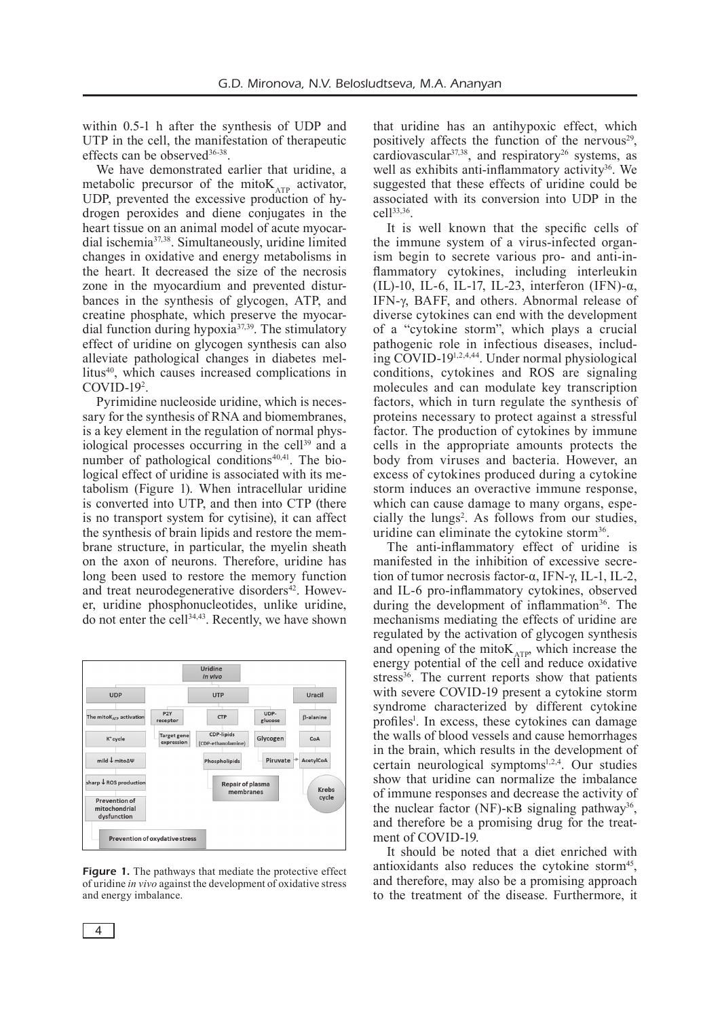within 0.5-1 h after the synthesis of UDP and UTP in the cell, the manifestation of therapeutic effects can be observed<sup>36-38</sup>.

We have demonstrated earlier that uridine, a metabolic precursor of the mito $K_{ATP}$  activator, UDP, prevented the excessive production of hydrogen peroxides and diene conjugates in the heart tissue on an animal model of acute myocardial ischemia37,38. Simultaneously, uridine limited changes in oxidative and energy metabolisms in the heart. It decreased the size of the necrosis zone in the myocardium and prevented disturbances in the synthesis of glycogen, ATP, and creatine phosphate, which preserve the myocardial function during hypoxia37,39. The stimulatory effect of uridine on glycogen synthesis can also alleviate pathological changes in diabetes mellitus40, which causes increased complications in COVID-192 .

Pyrimidine nucleoside uridine, which is necessary for the synthesis of RNA and biomembranes, is a key element in the regulation of normal physiological processes occurring in the cell<sup>39</sup> and a number of pathological conditions $40,41$ . The biological effect of uridine is associated with its metabolism (Figure 1). When intracellular uridine is converted into UTP, and then into CTP (there is no transport system for cytisine), it can affect the synthesis of brain lipids and restore the membrane structure, in particular, the myelin sheath on the axon of neurons. Therefore, uridine has long been used to restore the memory function and treat neurodegenerative disorders $42$ . However, uridine phosphonucleotides, unlike uridine, do not enter the cell34,43. Recently, we have shown



Figure 1. The pathways that mediate the protective effect of uridine *in vivo* against the development of oxidative stress and energy imbalance.

that uridine has an antihypoxic effect, which positively affects the function of the nervous $29$ . cardiovascular $37,38$ , and respiratory<sup>26</sup> systems, as well as exhibits anti-inflammatory activity<sup>36</sup>. We suggested that these effects of uridine could be associated with its conversion into UDP in the cell33,36.

It is well known that the specific cells of the immune system of a virus-infected organism begin to secrete various pro- and anti-inflammatory cytokines, including interleukin (IL)-10, IL-6, IL-17, IL-23, interferon (IFN)-α, IFN-γ, BAFF, and others. Abnormal release of diverse cytokines can end with the development of a "cytokine storm", which plays a crucial pathogenic role in infectious diseases, including COVID-191,2,4,44. Under normal physiological conditions, cytokines and ROS are signaling molecules and can modulate key transcription factors, which in turn regulate the synthesis of proteins necessary to protect against a stressful factor. The production of cytokines by immune cells in the appropriate amounts protects the body from viruses and bacteria. However, an excess of cytokines produced during a cytokine storm induces an overactive immune response, which can cause damage to many organs, especially the lungs<sup>2</sup>. As follows from our studies, uridine can eliminate the cytokine storm<sup>36</sup>.

The anti-inflammatory effect of uridine is manifested in the inhibition of excessive secretion of tumor necrosis factor-α, IFN-γ, IL-1, IL-2, and IL-6 pro-inflammatory cytokines, observed during the development of inflammation<sup>36</sup>. The mechanisms mediating the effects of uridine are regulated by the activation of glycogen synthesis and opening of the mito $K_{ATP}$ , which increase the energy potential of the cell and reduce oxidative stress<sup>36</sup>. The current reports show that patients with severe COVID-19 present a cytokine storm syndrome characterized by different cytokine profiles<sup>1</sup>. In excess, these cytokines can damage the walls of blood vessels and cause hemorrhages in the brain, which results in the development of certain neurological symptoms<sup>1,2,4</sup>. Our studies show that uridine can normalize the imbalance of immune responses and decrease the activity of the nuclear factor (NF)-κB signaling pathway<sup>36</sup>, and therefore be a promising drug for the treatment of COVID-19.

It should be noted that a diet enriched with antioxidants also reduces the cytokine storm $45$ , and therefore, may also be a promising approach to the treatment of the disease. Furthermore, it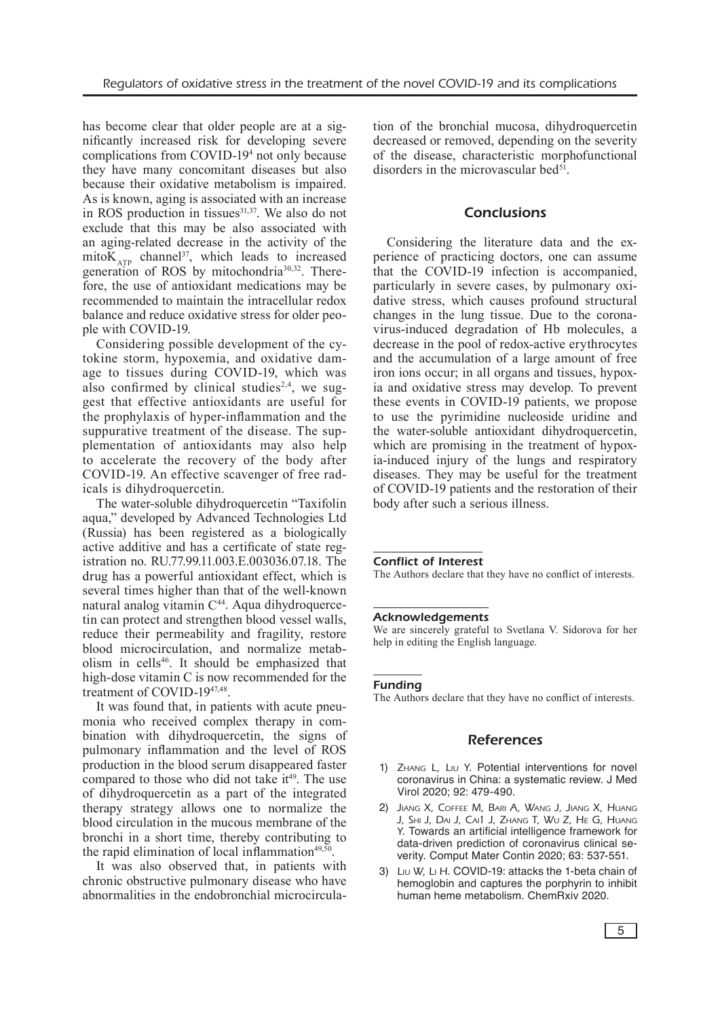has become clear that older people are at a significantly increased risk for developing severe complications from COVID-194 not only because they have many concomitant diseases but also because their oxidative metabolism is impaired. As is known, aging is associated with an increase in ROS production in tissues<sup>31,37</sup>. We also do not exclude that this may be also associated with an aging-related decrease in the activity of the mito $K_{ATP}$  channel<sup>37</sup>, which leads to increased generation of ROS by mitochondria30,32. Therefore, the use of antioxidant medications may be recommended to maintain the intracellular redox balance and reduce oxidative stress for older people with COVID-19.

Considering possible development of the cytokine storm, hypoxemia, and oxidative damage to tissues during COVID-19, which was also confirmed by clinical studies<sup>2,4</sup>, we suggest that effective antioxidants are useful for the prophylaxis of hyper-inflammation and the suppurative treatment of the disease. The supplementation of antioxidants may also help to accelerate the recovery of the body after COVID-19. An effective scavenger of free radicals is dihydroquercetin.

The water-soluble dihydroquercetin "Taxifolin aqua," developed by Advanced Technologies Ltd (Russia) has been registered as a biologically active additive and has a certificate of state registration no. RU.77.99.11.003.E.003036.07.18. The drug has a powerful antioxidant effect, which is several times higher than that of the well-known natural analog vitamin C44. Aqua dihydroquercetin can protect and strengthen blood vessel walls, reduce their permeability and fragility, restore blood microcirculation, and normalize metabolism in cells<sup>46</sup>. It should be emphasized that high-dose vitamin C is now recommended for the treatment of COVID-1947,48.

It was found that, in patients with acute pneumonia who received complex therapy in combination with dihydroquercetin, the signs of pulmonary inflammation and the level of ROS production in the blood serum disappeared faster compared to those who did not take it<sup>49</sup>. The use of dihydroquercetin as a part of the integrated therapy strategy allows one to normalize the blood circulation in the mucous membrane of the bronchi in a short time, thereby contributing to the rapid elimination of local inflammation $49,50$ .

It was also observed that, in patients with chronic obstructive pulmonary disease who have abnormalities in the endobronchial microcirculation of the bronchial mucosa, dihydroquercetin decreased or removed, depending on the severity of the disease, characteristic morphofunctional disorders in the microvascular bed $51$ .

## **Conclusions**

Considering the literature data and the experience of practicing doctors, one can assume that the COVID-19 infection is accompanied, particularly in severe cases, by pulmonary oxidative stress, which causes profound structural changes in the lung tissue. Due to the coronavirus-induced degradation of Hb molecules, a decrease in the pool of redox-active erythrocytes and the accumulation of a large amount of free iron ions occur; in all organs and tissues, hypoxia and oxidative stress may develop. To prevent these events in COVID-19 patients, we propose to use the pyrimidine nucleoside uridine and the water-soluble antioxidant dihydroquercetin, which are promising in the treatment of hypoxia-induced injury of the lungs and respiratory diseases. They may be useful for the treatment of COVID-19 patients and the restoration of their body after such a serious illness.

#### Conflict of Interest

The Authors declare that they have no conflict of interests.

#### **Acknowledgements**

We are sincerely grateful to Svetlana V. Sidorova for her help in editing the English language.

#### Funding

The Authors declare that they have no conflict of interests.

#### References

- 1) ZHANG L, LIU Y. Potential interventions for novel coronavirus in China: a systematic review. J Med Virol 2020; 92: 479-490.
- 2) Jiang X, Coffee M, Bari A, Wang J, Jiang X, Huang J, Shi J, Dai J, Cai1 J, Zhang T, Wu Z, He G, Huang Y. Towards an artificial intelligence framework for data-driven prediction of coronavirus clinical severity. Comput Mater Contin 2020; 63: 537-551.
- 3) Liu W, Li H. COVID-19: attacks the 1-beta chain of hemoglobin and captures the porphyrin to inhibit human heme metabolism. ChemRxiv 2020.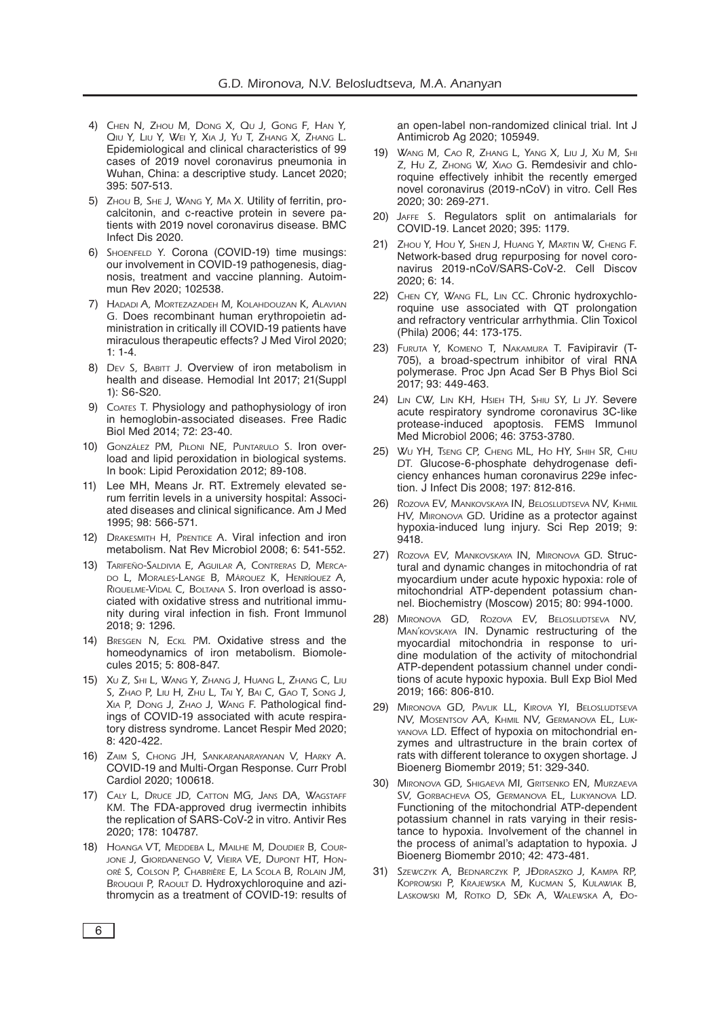- 4) Chen N, Zhou M, Dong X, Qu J, Gong F, Han Y, Qiu Y, Liu Y, Wei Y, Xia J, Yu T, Zhang X, Zhang L. Epidemiological and clinical characteristics of 99 cases of 2019 novel coronavirus pneumonia in Wuhan, China: a descriptive study. Lancet 2020; 395: 507-513.
- 5) Zhou B, She J, Wang Y, Ma X. Utility of ferritin, procalcitonin, and c-reactive protein in severe patients with 2019 novel coronavirus disease. BMC Infect Dis 2020.
- 6) SHOENFELD Y. Corona (COVID-19) time musings: our involvement in COVID-19 pathogenesis, diagnosis, treatment and vaccine planning. Autoimmun Rev 2020; 102538.
- 7) Hadadi A, Mortezazadeh M, Kolahdouzan K, Alavian G. Does recombinant human erythropoietin administration in critically ill COVID‐19 patients have miraculous therapeutic effects? J Med Virol 2020; 1: 1-4.
- 8) DEV S, BABITT J. Overview of iron metabolism in health and disease. Hemodial Int 2017; 21(Suppl 1): S6-S20.
- 9) COATES T. Physiology and pathophysiology of iron in hemoglobin-associated diseases. Free Radic Biol Med 2014; 72: 23-40.
- 10) González PM, Piloni NE, Puntarulo S. Iron overload and lipid peroxidation in biological systems. In book: Lipid Peroxidation 2012; 89-108.
- 11) Lee MH, Means Jr. RT. Extremely elevated serum ferritin levels in a university hospital: Associated diseases and clinical significance. Am J Med 1995; 98: 566-571.
- 12) DRAKESMITH H, PRENTICE A. Viral infection and iron metabolism. Nat Rev Microbiol 2008; 6: 541-552.
- 13) Tarifeño-Saldivia E, Aguilar A, Contreras D, Mercado L, Morales-Lange B, Márquez K, Henríquez A, RIQUELME-VIDAL C, BOLTANA S. Iron overload is associated with oxidative stress and nutritional immunity during viral infection in fish. Front Immunol 2018; 9: 1296.
- 14) BRESGEN N, ECKL PM. Oxidative stress and the homeodynamics of iron metabolism. Biomolecules 2015; 5: 808-847.
- 15) Xu Z, Shi L, Wang Y, Zhang J, Huang L, Zhang C, Liu S, Zhao P, Liu H, Zhu L, Tai Y, Bai C, Gao T, Song J, Xia P, Dong J, Zhao J, Wang F. Pathological findings of COVID-19 associated with acute respiratory distress syndrome. Lancet Respir Med 2020; 8: 420-422.
- 16) Zaim S, Chong JH, Sankaranarayanan V, Harky A. COVID-19 and Multi-Organ Response. Curr Probl Cardiol 2020; 100618.
- 17) CALY L, DRUCE JD, CATTON MG, JANS DA, WAGSTAFF KM. The FDA-approved drug ivermectin inhibits the replication of SARS-CoV-2 in vitro. Antivir Res 2020; 178: 104787.
- 18) HOANGA VT, MEDDEBA L, MAILHE M, DOUDIER B, COURjone J, Giordanengo V, Vieira VE, Dupont HT, Honoré S, Colson P, Chabrière E, La Scola B, Rolain JM, Brouqui P, RAOULT D. Hydroxychloroquine and azithromycin as a treatment of COVID-19: results of

an open-label non-randomized clinical trial. Int J Antimicrob Ag 2020; 105949.

- 19) Wang M, Cao R, Zhang L, Yang X, Liu J, Xu M, Shi Z, Hu Z, Zhong W, Xiao G. Remdesivir and chloroquine effectively inhibit the recently emerged novel coronavirus (2019-nCoV) in vitro. Cell Res 2020; 30: 269-271.
- 20) Jaffe S. Regulators split on antimalarials for COVID-19. Lancet 2020; 395: 1179.
- 21) Zhou Y, Hou Y, Shen J, Huang Y, Martin W, Cheng F. Network-based drug repurposing for novel coronavirus 2019-nCoV/SARS-CoV-2. Cell Discov 2020; 6: 14.
- 22) CHEN CY, WANG FL, LIN CC. Chronic hydroxychloroquine use associated with QT prolongation and refractory ventricular arrhythmia. Clin Toxicol (Phila) 2006; 44: 173-175.
- 23) Furuta Y, Komeno T, Nakamura T. Favipiravir (T-705), a broad-spectrum inhibitor of viral RNA polymerase. Proc Jpn Acad Ser B Phys Biol Sci 2017; 93: 449‐463.
- 24) LIN CW, LIN KH, HSIEH TH, SHIU SY, LI JY. Severe acute respiratory syndrome coronavirus 3C-like protease-induced apoptosis. FEMS Immunol Med Microbiol 2006; 46: 3753-3780.
- 25) Wu YH, Tseng CP, Cheng ML, Ho HY, Shih SR, Chiu DT. Glucose-6-phosphate dehydrogenase deficiency enhances human coronavirus 229e infection. J Infect Dis 2008; 197: 812-816.
- 26) Rozova EV, Mankovskaya IN, Belosludtseva NV, Khmil HV, Mironova GD. Uridine as a protector against hypoxia-induced lung injury. Sci Rep 2019; 9: 9418.
- 27) Rozova EV, Mankovskaya IN, Mironova GD. Structural and dynamic changes in mitochondria of rat myocardium under acute hypoxic hypoxia: role of mitochondrial ATP-dependent potassium channel. Biochemistry (Moscow) 2015; 80: 994-1000.
- 28) Mironova GD, Rozova EV, Belosludtseva NV, Man'kovskaya IN. Dynamic restructuring of the myocardial mitochondria in response to uridine modulation of the activity of mitochondrial ATP-dependent potassium channel under conditions of acute hypoxic hypoxia. Bull Exp Biol Med 2019; 166: 806-810.
- 29) Mironova GD, Pavlik LL, Kirova YI, Belosludtseva NV, Mosentsov AA, Khmil NV, Germanova EL, Lukyanova LD. Effect of hypoxia on mitochondrial enzymes and ultrastructure in the brain cortex of rats with different tolerance to oxygen shortage. J Bioenerg Biomembr 2019; 51: 329-340.
- 30) Mironova GD, Shigaeva MI, Gritsenko EN, Murzaeva SV, Gorbacheva OS, Germanova EL, Lukyanova LD. Functioning of the mitochondrial ATP-dependent potassium channel in rats varying in their resistance to hypoxia. Involvement of the channel in the process of animal's adaptation to hypoxia. J Bioenerg Biomembr 2010; 42: 473-481.
- 31) SZEWCZYK A, BEDNARCZYK P, JĐDRASZKO J, KAMPA RP, Koprowski P, Krajewska M, Kucman S, Kulawiak B, Laskowski M, Rotko D, SĐK A, WALEWSKA A, Đo-